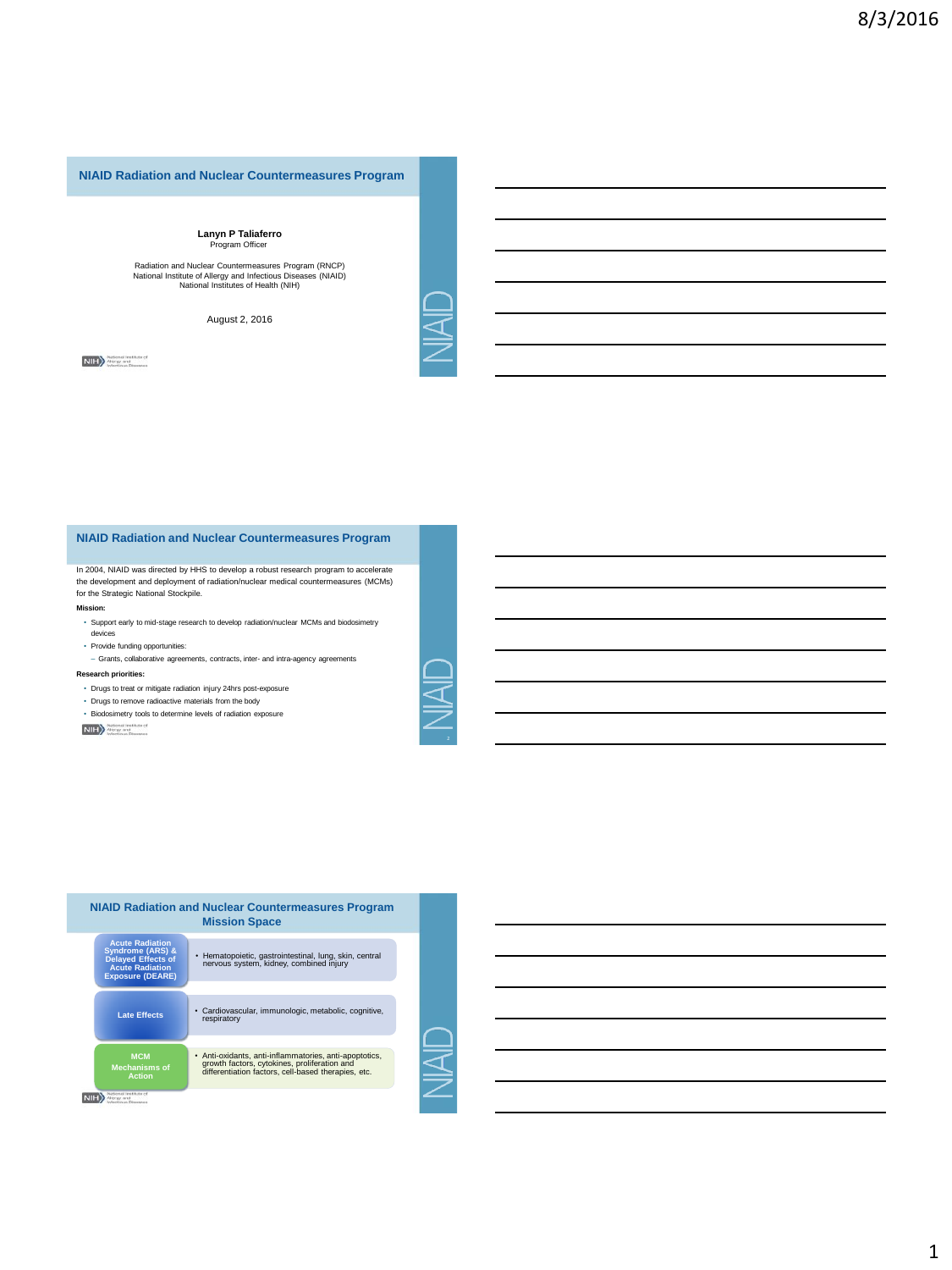

# **Lanyn P Taliaferro** Program Officer

Radiation and Nuclear Countermeasures Program (RNCP) National Institute of Allergy and Infectious Diseases (NIAID) National Institutes of Health (NIH)

August 2, 2016

**NIH** Mercay and<br>
Interdican Diseases

**NIAID Radiation and Nuclear Countermeasures Program**

In 2004, NIAID was directed by HHS to develop a robust research program to accelerate the development and deployment of radiation/nuclear medical countermeasures (MCMs) for the Strategic National Stockpile.

#### **Mission:**

- Support early to mid-stage research to develop radiation/nuclear MCMs and biodosimetry
- devices
- Provide funding opportunities:
- Grants, collaborative agreements, contracts, inter- and intra-agency agreements

## **Research priorities:**

- Drugs to treat or mitigate radiation injury 24hrs post-exposure
- Drugs to remove radioactive materials from the body • Biodosimetry tools to determine levels of radiation exposure

**NIH** alternal traditute of

|                                                                                                                                         | <b>NIAID Radiation and Nuclear Countermeasures Program</b><br><b>Mission Space</b>                                                                            |
|-----------------------------------------------------------------------------------------------------------------------------------------|---------------------------------------------------------------------------------------------------------------------------------------------------------------|
| <b>Acute Radiation</b><br><b>Syndrome (ARS) &amp;</b><br><b>Delayed Effects of</b><br><b>Acute Radiation</b><br><b>Exposure (DEARE)</b> | · Hematopoietic, gastrointestinal, lung, skin, central<br>nervous system, kidney, combined injury                                                             |
| <b>Late Effects</b>                                                                                                                     | · Cardiovascular, immunologic, metabolic, cognitive,<br>respiratory                                                                                           |
| <b>MCM</b><br><b>Mechanisms of</b><br><b>Action</b>                                                                                     | • Anti-oxidants, anti-inflammatories, anti-apoptotics,<br>growth factors, cytokines, proliferation and<br>differentiation factors, cell-based therapies, etc. |
| <b>Stout Dissenses</b>                                                                                                                  |                                                                                                                                                               |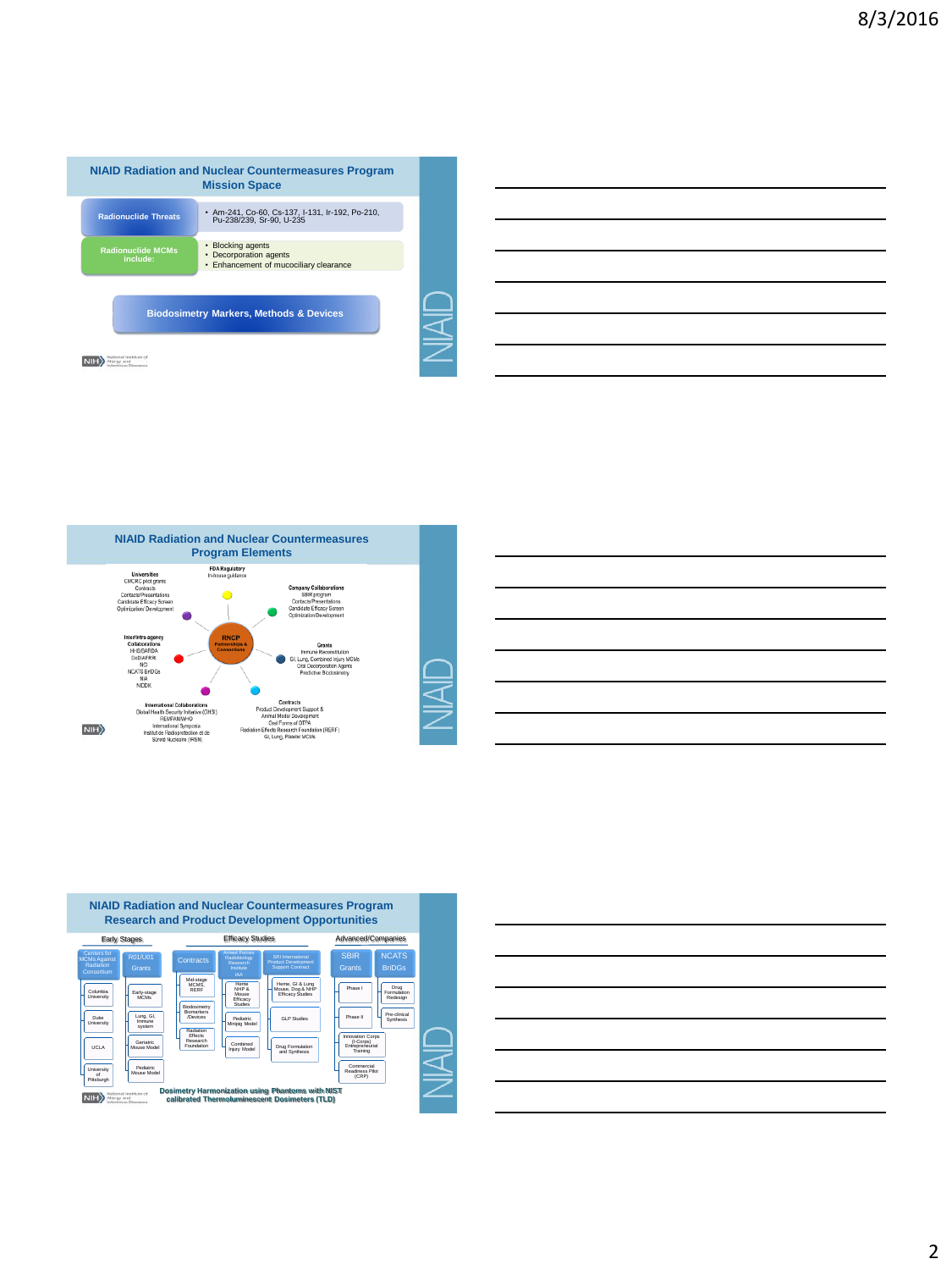| · Am-241, Co-60, Cs-137, I-131, Ir-192, Po-210,<br><b>Radionuclide Threats</b><br>Pu-238/239, Sr-90, U-235<br><b>Blocking agents</b><br>٠<br><b>Radionuclide MCMs</b><br>Decorporation agents<br>٠<br>include:<br>• Enhancement of mucociliary clearance |
|----------------------------------------------------------------------------------------------------------------------------------------------------------------------------------------------------------------------------------------------------------|
|                                                                                                                                                                                                                                                          |
|                                                                                                                                                                                                                                                          |
| <b>Biodosimetry Markers, Methods &amp; Devices</b>                                                                                                                                                                                                       |

ℶ  $\overline{\mathsf{S}}$ 





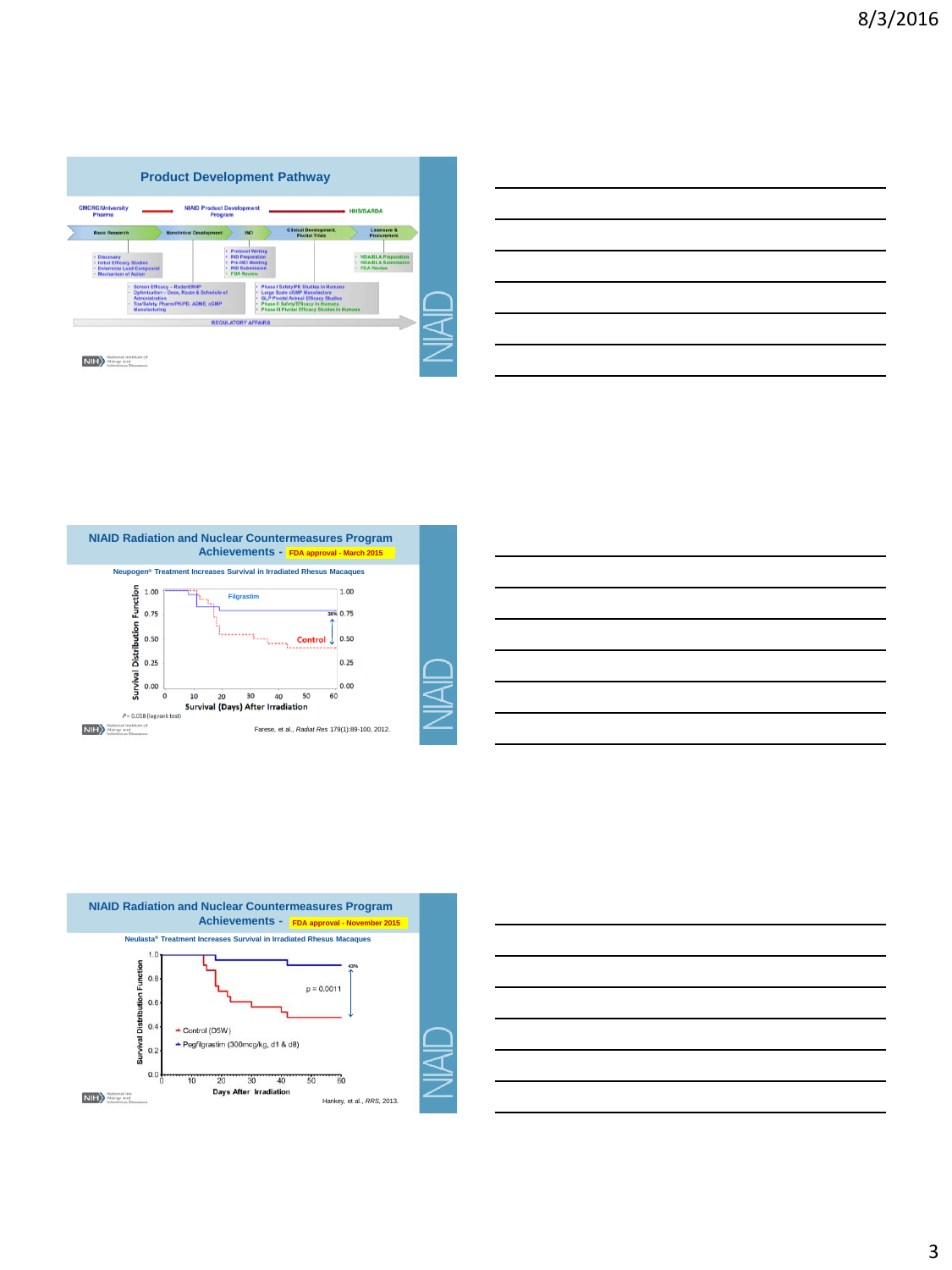









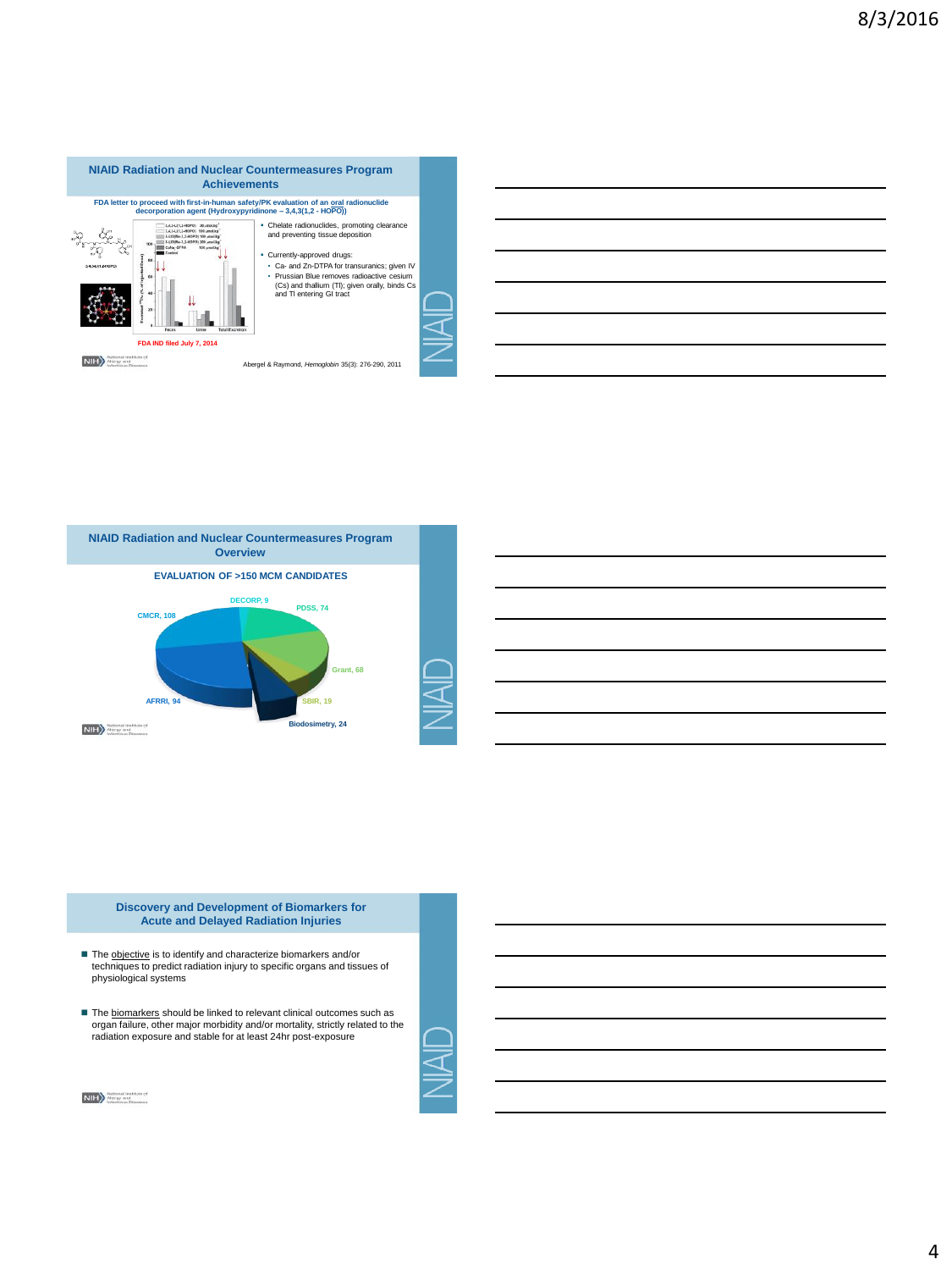



**Discovery and Development of Biomarkers for Acute and Delayed Radiation Injuries**

- The **objective** is to identify and characterize biomarkers and/or<br>techniques to predict radiation injury to specific organs and tissues of physiological systems
- The **biomarkers** should be linked to relevant clinical outcomes such as organ failure, other major morbidity and/or mortality, strictly related to the radiation exposure and stable for at least 24hr post-exposure



NIH > Mergy and<br>
Intectious Diseases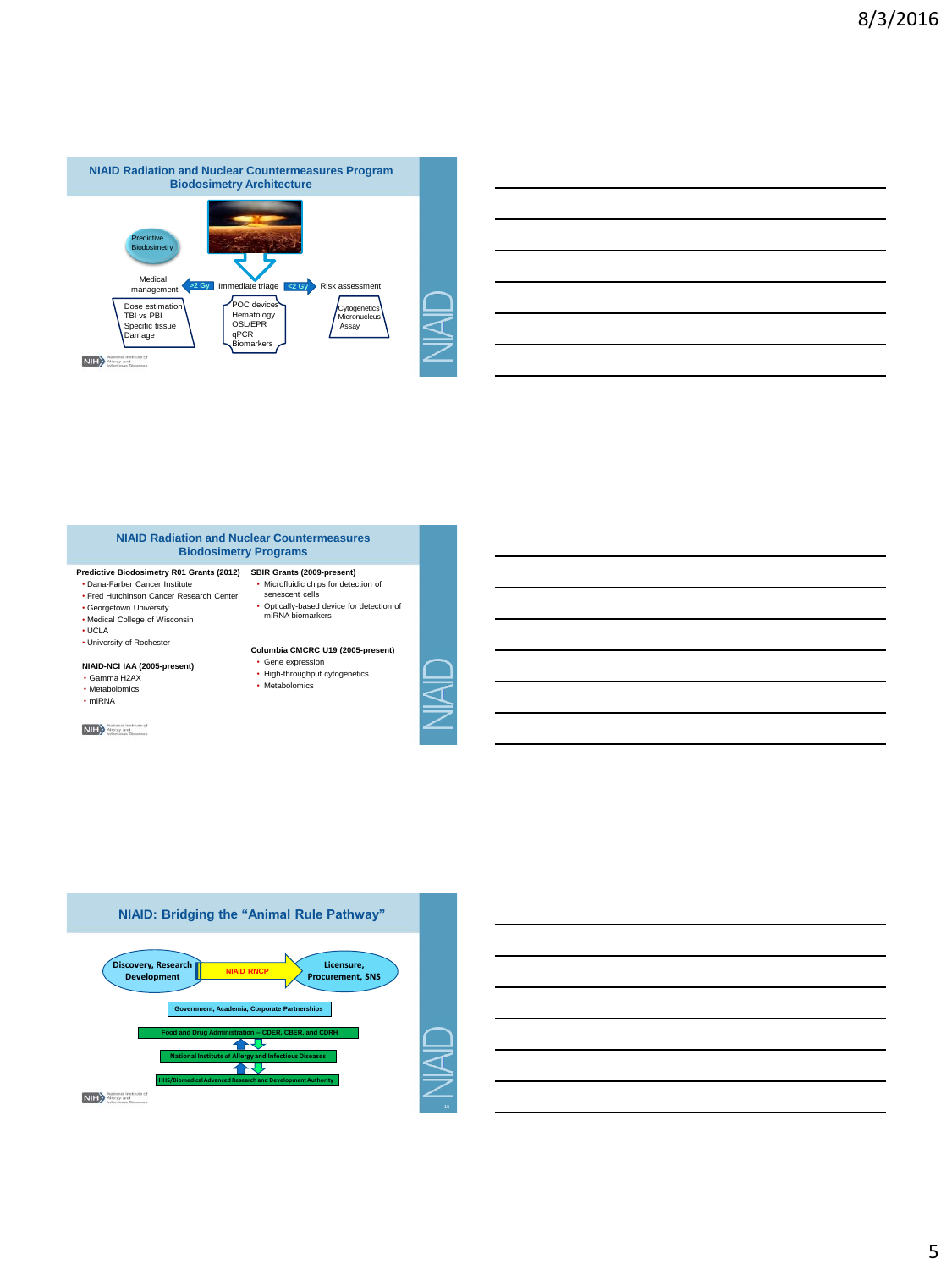

### **NIAID Radiation and Nuclear Countermeasures Biodosimetry Programs**

- **Predictive Biodosimetry R01 Grants (2012) SBIR Grants (2009-present)**
- Dana-Farber Cancer Institute • Fred Hutchinson Cancer Research Center
- 
- Georgetown University Medical College of Wisconsin
- UCLA
- University of Rochester

#### **NIAID-NCI IAA (2005-present)**  • Gamma H2AX

- 
- Metabolomics • miRNA
- 
- NIH >> Mational Institute of
- Microfluidic chips for detection of senescent cells • Optically-based device for detection of miRNA biomarkers
- **Columbia CMCRC U19 (2005-present)**
- Gene expression High-throughput cytogenetics
- Metabolomics
-